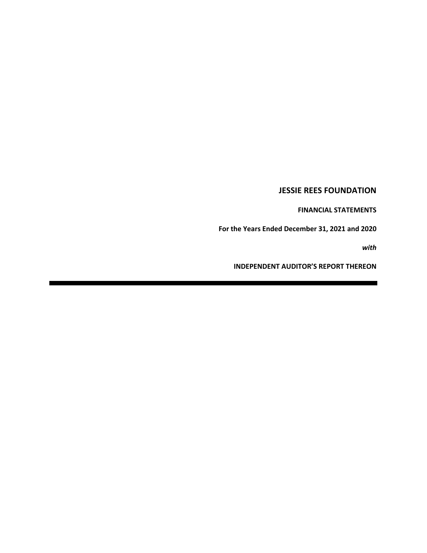# **JESSIE REES FOUNDATION**

**FINANCIAL STATEMENTS**

**For the Years Ended December 31, 2021 and 2020**

*with*

**INDEPENDENT AUDITOR'S REPORT THEREON**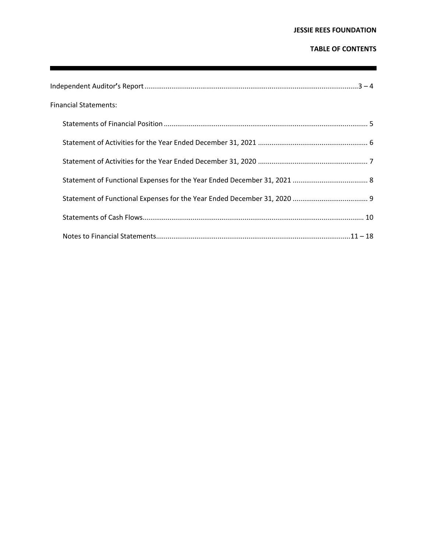# **JESSIE REES FOUNDATION**

# **TABLE OF CONTENTS**

ī

| <b>Financial Statements:</b> |
|------------------------------|
|                              |
|                              |
|                              |
|                              |
|                              |
|                              |
|                              |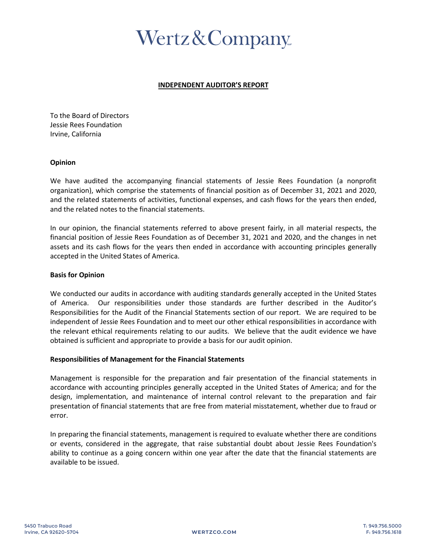# Wertz & Company

# **INDEPENDENT AUDITOR'S REPORT**

To the Board of Directors Jessie Rees Foundation Irvine, California

# **Opinion**

We have audited the accompanying financial statements of Jessie Rees Foundation (a nonprofit organization), which comprise the statements of financial position as of December 31, 2021 and 2020, and the related statements of activities, functional expenses, and cash flows for the years then ended, and the related notes to the financial statements.

In our opinion, the financial statements referred to above present fairly, in all material respects, the financial position of Jessie Rees Foundation as of December 31, 2021 and 2020, and the changes in net assets and its cash flows for the years then ended in accordance with accounting principles generally accepted in the United States of America.

# **Basis for Opinion**

We conducted our audits in accordance with auditing standards generally accepted in the United States of America. Our responsibilities under those standards are further described in the Auditor's Responsibilities for the Audit of the Financial Statements section of our report. We are required to be independent of Jessie Rees Foundation and to meet our other ethical responsibilities in accordance with the relevant ethical requirements relating to our audits. We believe that the audit evidence we have obtained is sufficient and appropriate to provide a basis for our audit opinion.

# **Responsibilities of Management for the Financial Statements**

Management is responsible for the preparation and fair presentation of the financial statements in accordance with accounting principles generally accepted in the United States of America; and for the design, implementation, and maintenance of internal control relevant to the preparation and fair presentation of financial statements that are free from material misstatement, whether due to fraud or error.

In preparing the financial statements, management is required to evaluate whether there are conditions or events, considered in the aggregate, that raise substantial doubt about Jessie Rees Foundation's ability to continue as a going concern within one year after the date that the financial statements are available to be issued.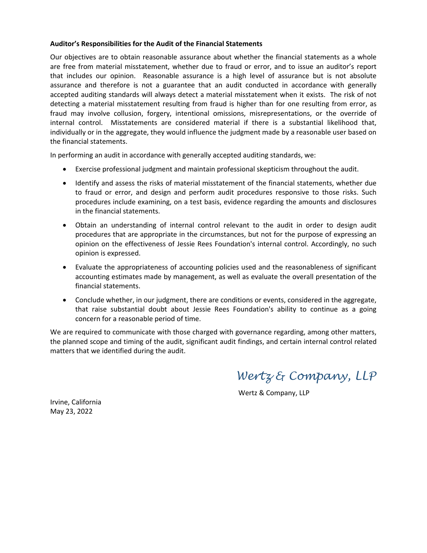# **Auditor's Responsibilities for the Audit of the Financial Statements**

Our objectives are to obtain reasonable assurance about whether the financial statements as a whole are free from material misstatement, whether due to fraud or error, and to issue an auditor's report that includes our opinion. Reasonable assurance is a high level of assurance but is not absolute assurance and therefore is not a guarantee that an audit conducted in accordance with generally accepted auditing standards will always detect a material misstatement when it exists. The risk of not detecting a material misstatement resulting from fraud is higher than for one resulting from error, as fraud may involve collusion, forgery, intentional omissions, misrepresentations, or the override of internal control. Misstatements are considered material if there is a substantial likelihood that, individually or in the aggregate, they would influence the judgment made by a reasonable user based on the financial statements.

In performing an audit in accordance with generally accepted auditing standards, we:

- Exercise professional judgment and maintain professional skepticism throughout the audit.
- Identify and assess the risks of material misstatement of the financial statements, whether due to fraud or error, and design and perform audit procedures responsive to those risks. Such procedures include examining, on a test basis, evidence regarding the amounts and disclosures in the financial statements.
- Obtain an understanding of internal control relevant to the audit in order to design audit procedures that are appropriate in the circumstances, but not for the purpose of expressing an opinion on the effectiveness of Jessie Rees Foundation's internal control. Accordingly, no such opinion is expressed.
- Evaluate the appropriateness of accounting policies used and the reasonableness of significant accounting estimates made by management, as well as evaluate the overall presentation of the financial statements.
- Conclude whether, in our judgment, there are conditions or events, considered in the aggregate, that raise substantial doubt about Jessie Rees Foundation's ability to continue as a going concern for a reasonable period of time.

We are required to communicate with those charged with governance regarding, among other matters, the planned scope and timing of the audit, significant audit findings, and certain internal control related matters that we identified during the audit.

*Wertz & Company, LLP*

Wertz & Company, LLP

Irvine, California May 23, 2022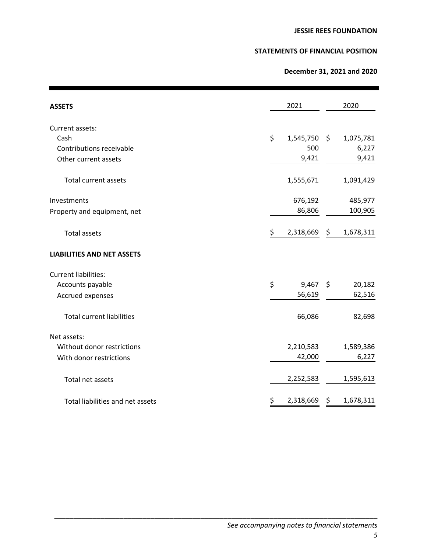# **STATEMENTS OF FINANCIAL POSITION**

# **December 31, 2021 and 2020**

| <b>ASSETS</b>                     | 2021             | 2020            |
|-----------------------------------|------------------|-----------------|
| Current assets:                   |                  |                 |
| Cash                              | \$<br>1,545,750  | \$<br>1,075,781 |
| Contributions receivable          | 500              | 6,227           |
| Other current assets              | 9,421            | 9,421           |
| <b>Total current assets</b>       | 1,555,671        | 1,091,429       |
| Investments                       | 676,192          | 485,977         |
| Property and equipment, net       | 86,806           | 100,905         |
| <b>Total assets</b>               | \$<br>2,318,669  | \$<br>1,678,311 |
| <b>LIABILITIES AND NET ASSETS</b> |                  |                 |
| <b>Current liabilities:</b>       |                  |                 |
| Accounts payable                  | \$<br>$9,467$ \$ | 20,182          |
| Accrued expenses                  | 56,619           | 62,516          |
| <b>Total current liabilities</b>  | 66,086           | 82,698          |
| Net assets:                       |                  |                 |
| Without donor restrictions        | 2,210,583        | 1,589,386       |
| With donor restrictions           | 42,000           | 6,227           |
| Total net assets                  | 2,252,583        | 1,595,613       |
| Total liabilities and net assets  | \$<br>2,318,669  | \$<br>1,678,311 |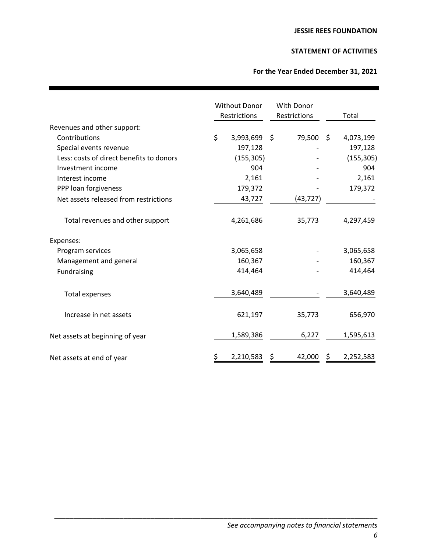# **STATEMENT OF ACTIVITIES**

# **For the Year Ended December 31, 2021**

|                                          | <b>Without Donor</b><br>Restrictions | With Donor<br>Restrictions |    | Total      |
|------------------------------------------|--------------------------------------|----------------------------|----|------------|
| Revenues and other support:              |                                      |                            |    |            |
| Contributions                            | \$<br>3,993,699                      | \$<br>79,500               | S. | 4,073,199  |
| Special events revenue                   | 197,128                              |                            |    | 197,128    |
| Less: costs of direct benefits to donors | (155, 305)                           |                            |    | (155, 305) |
| Investment income                        | 904                                  |                            |    | 904        |
| Interest income                          | 2,161                                |                            |    | 2,161      |
| PPP loan forgiveness                     | 179,372                              |                            |    | 179,372    |
| Net assets released from restrictions    | 43,727                               | (43, 727)                  |    |            |
| Total revenues and other support         | 4,261,686                            | 35,773                     |    | 4,297,459  |
| Expenses:                                |                                      |                            |    |            |
| Program services                         | 3,065,658                            |                            |    | 3,065,658  |
| Management and general                   | 160,367                              |                            |    | 160,367    |
| Fundraising                              | 414,464                              |                            |    | 414,464    |
| <b>Total expenses</b>                    | 3,640,489                            |                            |    | 3,640,489  |
| Increase in net assets                   | 621,197                              | 35,773                     |    | 656,970    |
| Net assets at beginning of year          | 1,589,386                            | 6,227                      |    | 1,595,613  |
| Net assets at end of year                | \$<br>2,210,583                      | 42,000                     | Ś  | 2,252,583  |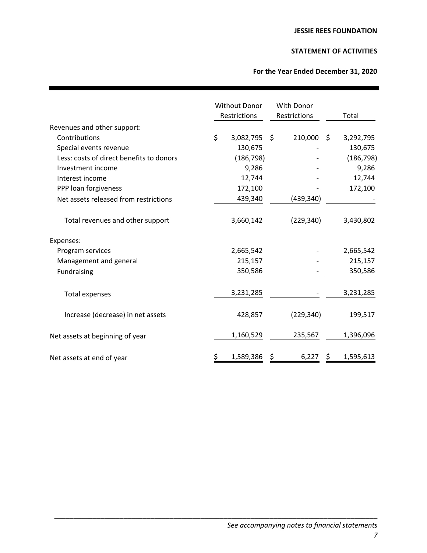# **STATEMENT OF ACTIVITIES**

# **For the Year Ended December 31, 2020**

|                                          | <b>Without Donor</b><br>Restrictions | With Donor<br>Restrictions |            |    | Total      |
|------------------------------------------|--------------------------------------|----------------------------|------------|----|------------|
| Revenues and other support:              |                                      |                            |            |    |            |
| Contributions                            | \$<br>3,082,795                      | Ŝ.                         | 210,000    | Ŝ. | 3,292,795  |
| Special events revenue                   | 130,675                              |                            |            |    | 130,675    |
| Less: costs of direct benefits to donors | (186, 798)                           |                            |            |    | (186, 798) |
| Investment income                        | 9,286                                |                            |            |    | 9,286      |
| Interest income                          | 12,744                               |                            |            |    | 12,744     |
| PPP loan forgiveness                     | 172,100                              |                            |            |    | 172,100    |
| Net assets released from restrictions    | 439,340                              |                            | (439, 340) |    |            |
| Total revenues and other support         | 3,660,142                            |                            | (229, 340) |    | 3,430,802  |
| Expenses:                                |                                      |                            |            |    |            |
| Program services                         | 2,665,542                            |                            |            |    | 2,665,542  |
| Management and general                   | 215,157                              |                            |            |    | 215,157    |
| Fundraising                              | 350,586                              |                            |            |    | 350,586    |
| <b>Total expenses</b>                    | 3,231,285                            |                            |            |    | 3,231,285  |
| Increase (decrease) in net assets        | 428,857                              |                            | (229, 340) |    | 199,517    |
| Net assets at beginning of year          | 1,160,529                            |                            | 235,567    |    | 1,396,096  |
| Net assets at end of year                | \$<br>1,589,386                      |                            | 6,227      | Ś  | 1,595,613  |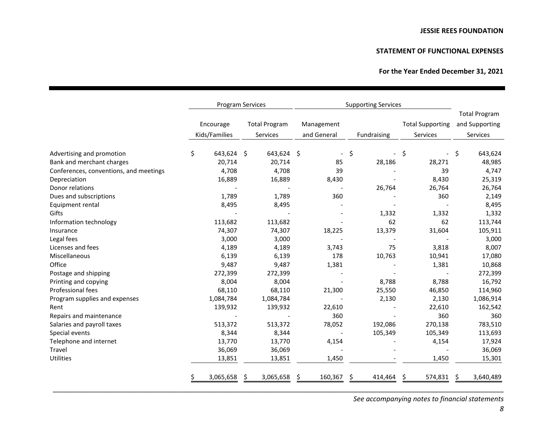# **STATEMENT OF FUNCTIONAL EXPENSES**

# **For the Year Ended December 31, 2021**

|                                        |                            | <b>Program Services</b>          | <b>Supporting Services</b> |               |                                     |                                                    |  |
|----------------------------------------|----------------------------|----------------------------------|----------------------------|---------------|-------------------------------------|----------------------------------------------------|--|
|                                        | Encourage<br>Kids/Families | <b>Total Program</b><br>Services | Management<br>and General  | Fundraising   | <b>Total Supporting</b><br>Services | <b>Total Program</b><br>and Supporting<br>Services |  |
| Advertising and promotion              | \$<br>643,624 \$           | 643,624 \$                       | $\overline{\phantom{a}}$   | \$            | \$<br>$\overline{\phantom{a}}$      | \$<br>643,624                                      |  |
| Bank and merchant charges              | 20,714                     | 20,714                           | 85                         | 28,186        | 28,271                              | 48,985                                             |  |
| Conferences, conventions, and meetings | 4,708                      | 4,708                            | 39                         |               | 39                                  | 4,747                                              |  |
| Depreciation                           | 16,889                     | 16,889                           | 8,430                      |               | 8,430                               | 25,319                                             |  |
| Donor relations                        |                            |                                  |                            | 26,764        | 26,764                              | 26,764                                             |  |
| Dues and subscriptions                 | 1,789                      | 1,789                            | 360                        |               | 360                                 | 2,149                                              |  |
| Equipment rental                       | 8,495                      | 8,495                            |                            |               |                                     | 8,495                                              |  |
| Gifts                                  |                            |                                  |                            | 1,332         | 1,332                               | 1,332                                              |  |
| Information technology                 | 113,682                    | 113,682                          |                            | 62            | 62                                  | 113,744                                            |  |
| Insurance                              | 74,307                     | 74,307                           | 18,225                     | 13,379        | 31,604                              | 105,911                                            |  |
| Legal fees                             | 3,000                      | 3,000                            |                            |               |                                     | 3,000                                              |  |
| Licenses and fees                      | 4,189                      | 4,189                            | 3,743                      | 75            | 3,818                               | 8,007                                              |  |
| Miscellaneous                          | 6,139                      | 6,139                            | 178                        | 10,763        | 10,941                              | 17,080                                             |  |
| Office                                 | 9,487                      | 9,487                            | 1,381                      |               | 1,381                               | 10,868                                             |  |
| Postage and shipping                   | 272,399                    | 272,399                          |                            |               |                                     | 272,399                                            |  |
| Printing and copying                   | 8,004                      | 8,004                            |                            | 8,788         | 8,788                               | 16,792                                             |  |
| Professional fees                      | 68,110                     | 68,110                           | 21,300                     | 25,550        | 46,850                              | 114,960                                            |  |
| Program supplies and expenses          | 1,084,784                  | 1,084,784                        |                            | 2,130         | 2,130                               | 1,086,914                                          |  |
| Rent                                   | 139,932                    | 139,932                          | 22,610                     |               | 22,610                              | 162,542                                            |  |
| Repairs and maintenance                |                            |                                  | 360                        |               | 360                                 | 360                                                |  |
| Salaries and payroll taxes             | 513,372                    | 513,372                          | 78,052                     | 192,086       | 270,138                             | 783,510                                            |  |
| Special events                         | 8,344                      | 8,344                            |                            | 105,349       | 105,349                             | 113,693                                            |  |
| Telephone and internet                 | 13,770                     | 13,770                           | 4,154                      |               | 4,154                               | 17,924                                             |  |
| Travel                                 | 36,069                     | 36,069                           |                            |               |                                     | 36,069                                             |  |
| Utilities                              | 13,851                     | 13,851                           | 1,450                      |               | 1,450                               | 15,301                                             |  |
|                                        | 3,065,658                  | 3,065,658<br>S                   | 160,367<br>\$.             | Ŝ.<br>414,464 | 574,831<br>\$                       | 3,640,489<br>-S                                    |  |

\_\_\_\_\_\_\_\_\_\_\_\_\_\_\_\_\_\_\_\_\_\_\_\_\_\_\_\_\_\_\_\_\_\_\_\_\_\_\_\_\_\_\_\_\_\_\_\_\_\_\_\_\_\_\_\_\_\_\_\_\_\_\_\_\_\_\_\_\_\_\_\_\_\_\_\_\_\_\_\_\_\_\_\_\_\_\_\_\_\_\_\_\_\_\_\_\_\_\_\_\_\_\_\_\_\_\_\_\_\_\_\_\_\_\_\_\_

*See accompanying notes to financial statements*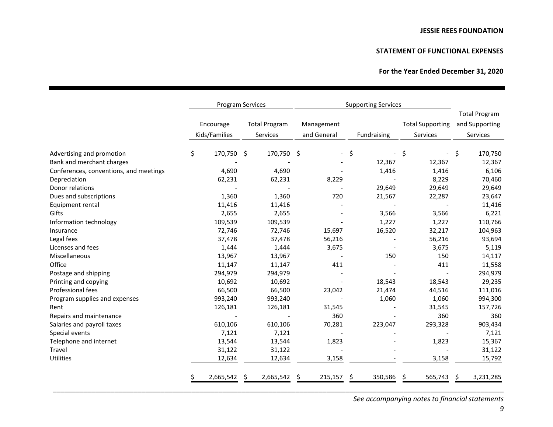# **STATEMENT OF FUNCTIONAL EXPENSES**

# **For the Year Ended December 31, 2020**

|                                        | <b>Program Services</b>    |            |   |                                  | <b>Supporting Services</b> |         |               |                                     |    |                                                    |
|----------------------------------------|----------------------------|------------|---|----------------------------------|----------------------------|---------|---------------|-------------------------------------|----|----------------------------------------------------|
|                                        | Encourage<br>Kids/Families |            |   | <b>Total Program</b><br>Services | Management<br>and General  |         | Fundraising   | <b>Total Supporting</b><br>Services |    | <b>Total Program</b><br>and Supporting<br>Services |
| Advertising and promotion              | \$                         | 170,750 \$ |   | 170,750                          | \$                         |         | \$            | \$<br>$\overline{\phantom{a}}$      | \$ | 170,750                                            |
| Bank and merchant charges              |                            |            |   |                                  |                            |         | 12,367        | 12,367                              |    | 12,367                                             |
| Conferences, conventions, and meetings |                            | 4,690      |   | 4,690                            |                            |         | 1,416         | 1,416                               |    | 6,106                                              |
| Depreciation                           |                            | 62,231     |   | 62,231                           |                            | 8,229   |               | 8,229                               |    | 70,460                                             |
| Donor relations                        |                            |            |   |                                  |                            |         | 29,649        | 29,649                              |    | 29,649                                             |
| Dues and subscriptions                 |                            | 1,360      |   | 1,360                            |                            | 720     | 21,567        | 22,287                              |    | 23,647                                             |
| Equipment rental                       |                            | 11,416     |   | 11,416                           |                            |         |               |                                     |    | 11,416                                             |
| Gifts                                  |                            | 2,655      |   | 2,655                            |                            |         | 3,566         | 3,566                               |    | 6,221                                              |
| Information technology                 |                            | 109,539    |   | 109,539                          |                            |         | 1,227         | 1,227                               |    | 110,766                                            |
| Insurance                              |                            | 72,746     |   | 72,746                           |                            | 15,697  | 16,520        | 32,217                              |    | 104,963                                            |
| Legal fees                             |                            | 37,478     |   | 37,478                           |                            | 56,216  |               | 56,216                              |    | 93,694                                             |
| Licenses and fees                      |                            | 1,444      |   | 1,444                            |                            | 3,675   |               | 3,675                               |    | 5,119                                              |
| Miscellaneous                          |                            | 13,967     |   | 13,967                           |                            |         | 150           | 150                                 |    | 14,117                                             |
| Office                                 |                            | 11,147     |   | 11,147                           |                            | 411     |               | 411                                 |    | 11,558                                             |
| Postage and shipping                   |                            | 294,979    |   | 294,979                          |                            |         |               |                                     |    | 294,979                                            |
| Printing and copying                   |                            | 10,692     |   | 10,692                           |                            |         | 18,543        | 18,543                              |    | 29,235                                             |
| Professional fees                      |                            | 66,500     |   | 66,500                           |                            | 23,042  | 21,474        | 44,516                              |    | 111,016                                            |
| Program supplies and expenses          |                            | 993,240    |   | 993,240                          |                            |         | 1,060         | 1,060                               |    | 994,300                                            |
| Rent                                   |                            | 126,181    |   | 126,181                          |                            | 31,545  |               | 31,545                              |    | 157,726                                            |
| Repairs and maintenance                |                            |            |   |                                  |                            | 360     |               | 360                                 |    | 360                                                |
| Salaries and payroll taxes             |                            | 610,106    |   | 610,106                          |                            | 70,281  | 223,047       | 293,328                             |    | 903,434                                            |
| Special events                         |                            | 7,121      |   | 7,121                            |                            |         |               |                                     |    | 7,121                                              |
| Telephone and internet                 |                            | 13,544     |   | 13,544                           |                            | 1,823   |               | 1,823                               |    | 15,367                                             |
| Travel                                 |                            | 31,122     |   | 31,122                           |                            |         |               |                                     |    | 31,122                                             |
| <b>Utilities</b>                       |                            | 12,634     |   | 12,634                           |                            | 3,158   |               | 3,158                               |    | 15,792                                             |
|                                        |                            | 2,665,542  | Ŝ | 2,665,542                        | \$                         | 215,157 | \$<br>350,586 | 565,743<br>S                        | S  | 3,231,285                                          |

\_\_\_\_\_\_\_\_\_\_\_\_\_\_\_\_\_\_\_\_\_\_\_\_\_\_\_\_\_\_\_\_\_\_\_\_\_\_\_\_\_\_\_\_\_\_\_\_\_\_\_\_\_\_\_\_\_\_\_\_\_\_\_\_\_\_\_\_\_\_\_\_\_\_\_\_\_\_\_\_\_\_\_\_\_\_\_\_\_\_\_\_\_\_\_\_\_\_\_\_\_\_\_\_\_\_\_\_\_\_\_\_\_\_\_\_\_

*See accompanying notes to financial statements*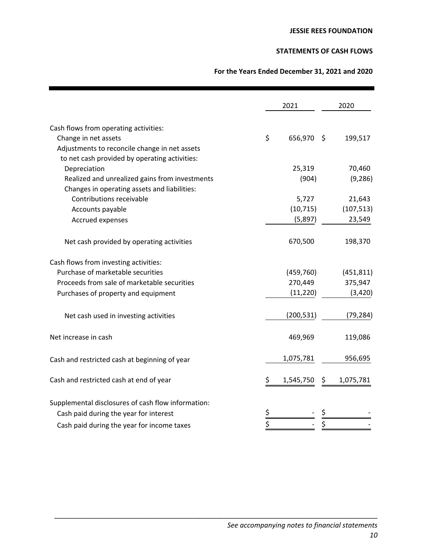# **STATEMENTS OF CASH FLOWS**

# **For the Years Ended December 31, 2021 and 2020**

|                                                    |           | 2021       | 2020            |
|----------------------------------------------------|-----------|------------|-----------------|
| Cash flows from operating activities:              |           |            |                 |
| Change in net assets                               | \$        | 656,970    | - \$<br>199,517 |
| Adjustments to reconcile change in net assets      |           |            |                 |
| to net cash provided by operating activities:      |           |            |                 |
| Depreciation                                       |           | 25,319     | 70,460          |
| Realized and unrealized gains from investments     |           | (904)      | (9, 286)        |
| Changes in operating assets and liabilities:       |           |            |                 |
| Contributions receivable                           |           | 5,727      | 21,643          |
| Accounts payable                                   |           | (10, 715)  | (107, 513)      |
| Accrued expenses                                   |           | (5,897)    | 23,549          |
| Net cash provided by operating activities          |           | 670,500    | 198,370         |
| Cash flows from investing activities:              |           |            |                 |
| Purchase of marketable securities                  |           | (459, 760) | (451, 811)      |
| Proceeds from sale of marketable securities        |           | 270,449    | 375,947         |
| Purchases of property and equipment                |           | (11, 220)  | (3, 420)        |
| Net cash used in investing activities              |           | (200, 531) | (79, 284)       |
| Net increase in cash                               |           | 469,969    | 119,086         |
| Cash and restricted cash at beginning of year      |           | 1,075,781  | 956,695         |
| Cash and restricted cash at end of year            | \$        | 1,545,750  | 1,075,781<br>S. |
| Supplemental disclosures of cash flow information: |           |            |                 |
| Cash paid during the year for interest             | <u>\$</u> |            |                 |
| Cash paid during the year for income taxes         | \$        |            | \$              |
|                                                    |           |            |                 |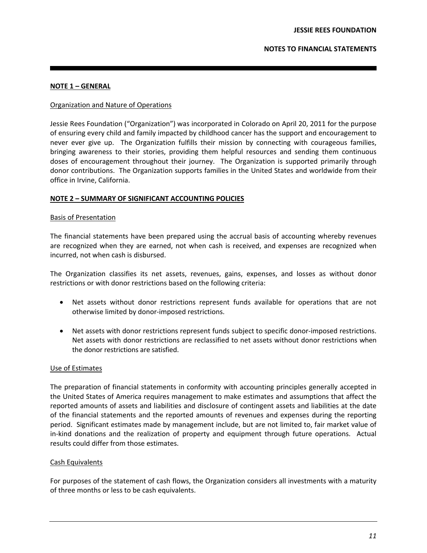# **NOTE 1 – GENERAL**

# Organization and Nature of Operations

Jessie Rees Foundation ("Organization") was incorporated in Colorado on April 20, 2011 for the purpose of ensuring every child and family impacted by childhood cancer has the support and encouragement to never ever give up. The Organization fulfills their mission by connecting with courageous families, bringing awareness to their stories, providing them helpful resources and sending them continuous doses of encouragement throughout their journey. The Organization is supported primarily through donor contributions. The Organization supports families in the United States and worldwide from their office in Irvine, California.

#### **NOTE 2 – SUMMARY OF SIGNIFICANT ACCOUNTING POLICIES**

#### Basis of Presentation

The financial statements have been prepared using the accrual basis of accounting whereby revenues are recognized when they are earned, not when cash is received, and expenses are recognized when incurred, not when cash is disbursed.

The Organization classifies its net assets, revenues, gains, expenses, and losses as without donor restrictions or with donor restrictions based on the following criteria:

- Net assets without donor restrictions represent funds available for operations that are not otherwise limited by donor-imposed restrictions.
- Net assets with donor restrictions represent funds subject to specific donor-imposed restrictions. Net assets with donor restrictions are reclassified to net assets without donor restrictions when the donor restrictions are satisfied.

# Use of Estimates

The preparation of financial statements in conformity with accounting principles generally accepted in the United States of America requires management to make estimates and assumptions that affect the reported amounts of assets and liabilities and disclosure of contingent assets and liabilities at the date of the financial statements and the reported amounts of revenues and expenses during the reporting period. Significant estimates made by management include, but are not limited to, fair market value of in-kind donations and the realization of property and equipment through future operations. Actual results could differ from those estimates.

# Cash Equivalents

For purposes of the statement of cash flows, the Organization considers all investments with a maturity of three months or less to be cash equivalents.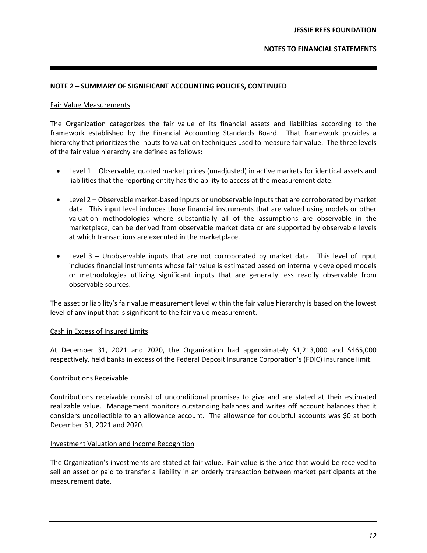# **NOTE 2 – SUMMARY OF SIGNIFICANT ACCOUNTING POLICIES, CONTINUED**

#### Fair Value Measurements

The Organization categorizes the fair value of its financial assets and liabilities according to the framework established by the Financial Accounting Standards Board. That framework provides a hierarchy that prioritizes the inputs to valuation techniques used to measure fair value. The three levels of the fair value hierarchy are defined as follows:

- Level 1 Observable, quoted market prices (unadjusted) in active markets for identical assets and liabilities that the reporting entity has the ability to access at the measurement date.
- Level 2 Observable market-based inputs or unobservable inputs that are corroborated by market data. This input level includes those financial instruments that are valued using models or other valuation methodologies where substantially all of the assumptions are observable in the marketplace, can be derived from observable market data or are supported by observable levels at which transactions are executed in the marketplace.
- Level 3 Unobservable inputs that are not corroborated by market data. This level of input includes financial instruments whose fair value is estimated based on internally developed models or methodologies utilizing significant inputs that are generally less readily observable from observable sources.

The asset or liability's fair value measurement level within the fair value hierarchy is based on the lowest level of any input that is significant to the fair value measurement.

# Cash in Excess of Insured Limits

At December 31, 2021 and 2020, the Organization had approximately \$1,213,000 and \$465,000 respectively, held banks in excess of the Federal Deposit Insurance Corporation's (FDIC) insurance limit.

# Contributions Receivable

Contributions receivable consist of unconditional promises to give and are stated at their estimated realizable value. Management monitors outstanding balances and writes off account balances that it considers uncollectible to an allowance account. The allowance for doubtful accounts was \$0 at both December 31, 2021 and 2020.

#### Investment Valuation and Income Recognition

The Organization's investments are stated at fair value. Fair value is the price that would be received to sell an asset or paid to transfer a liability in an orderly transaction between market participants at the measurement date.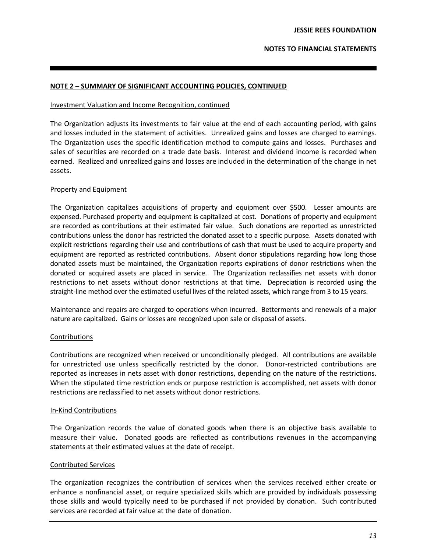# **NOTE 2 – SUMMARY OF SIGNIFICANT ACCOUNTING POLICIES, CONTINUED**

#### Investment Valuation and Income Recognition, continued

The Organization adjusts its investments to fair value at the end of each accounting period, with gains and losses included in the statement of activities. Unrealized gains and losses are charged to earnings. The Organization uses the specific identification method to compute gains and losses. Purchases and sales of securities are recorded on a trade date basis. Interest and dividend income is recorded when earned. Realized and unrealized gains and losses are included in the determination of the change in net assets.

# Property and Equipment

The Organization capitalizes acquisitions of property and equipment over \$500. Lesser amounts are expensed. Purchased property and equipment is capitalized at cost. Donations of property and equipment are recorded as contributions at their estimated fair value. Such donations are reported as unrestricted contributions unless the donor has restricted the donated asset to a specific purpose. Assets donated with explicit restrictions regarding their use and contributions of cash that must be used to acquire property and equipment are reported as restricted contributions. Absent donor stipulations regarding how long those donated assets must be maintained, the Organization reports expirations of donor restrictions when the donated or acquired assets are placed in service. The Organization reclassifies net assets with donor restrictions to net assets without donor restrictions at that time. Depreciation is recorded using the straight-line method over the estimated useful lives of the related assets, which range from 3 to 15 years.

Maintenance and repairs are charged to operations when incurred. Betterments and renewals of a major nature are capitalized. Gains or losses are recognized upon sale or disposal of assets.

# **Contributions**

Contributions are recognized when received or unconditionally pledged. All contributions are available for unrestricted use unless specifically restricted by the donor. Donor-restricted contributions are reported as increases in nets asset with donor restrictions, depending on the nature of the restrictions. When the stipulated time restriction ends or purpose restriction is accomplished, net assets with donor restrictions are reclassified to net assets without donor restrictions.

# In-Kind Contributions

The Organization records the value of donated goods when there is an objective basis available to measure their value. Donated goods are reflected as contributions revenues in the accompanying statements at their estimated values at the date of receipt.

# Contributed Services

The organization recognizes the contribution of services when the services received either create or enhance a nonfinancial asset, or require specialized skills which are provided by individuals possessing those skills and would typically need to be purchased if not provided by donation. Such contributed services are recorded at fair value at the date of donation.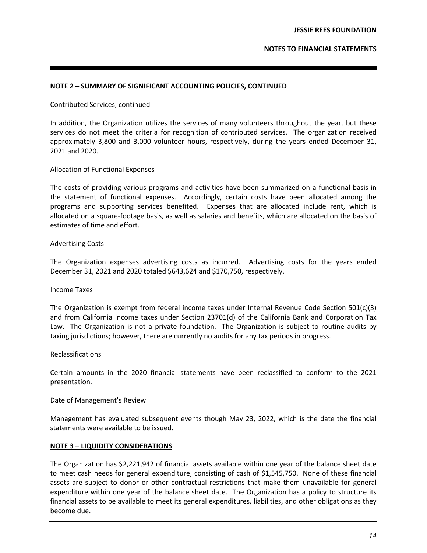# **NOTE 2 – SUMMARY OF SIGNIFICANT ACCOUNTING POLICIES, CONTINUED**

#### Contributed Services, continued

In addition, the Organization utilizes the services of many volunteers throughout the year, but these services do not meet the criteria for recognition of contributed services. The organization received approximately 3,800 and 3,000 volunteer hours, respectively, during the years ended December 31, 2021 and 2020.

# Allocation of Functional Expenses

The costs of providing various programs and activities have been summarized on a functional basis in the statement of functional expenses. Accordingly, certain costs have been allocated among the programs and supporting services benefited. Expenses that are allocated include rent, which is allocated on a square-footage basis, as well as salaries and benefits, which are allocated on the basis of estimates of time and effort.

#### Advertising Costs

The Organization expenses advertising costs as incurred. Advertising costs for the years ended December 31, 2021 and 2020 totaled \$643,624 and \$170,750, respectively.

#### Income Taxes

The Organization is exempt from federal income taxes under Internal Revenue Code Section 501(c)(3) and from California income taxes under Section 23701(d) of the California Bank and Corporation Tax Law. The Organization is not a private foundation. The Organization is subject to routine audits by taxing jurisdictions; however, there are currently no audits for any tax periods in progress.

#### Reclassifications

Certain amounts in the 2020 financial statements have been reclassified to conform to the 2021 presentation.

#### Date of Management's Review

Management has evaluated subsequent events though May 23, 2022, which is the date the financial statements were available to be issued.

# **NOTE 3 – LIQUIDITY CONSIDERATIONS**

The Organization has \$2,221,942 of financial assets available within one year of the balance sheet date to meet cash needs for general expenditure, consisting of cash of \$1,545,750. None of these financial assets are subject to donor or other contractual restrictions that make them unavailable for general expenditure within one year of the balance sheet date. The Organization has a policy to structure its financial assets to be available to meet its general expenditures, liabilities, and other obligations as they become due.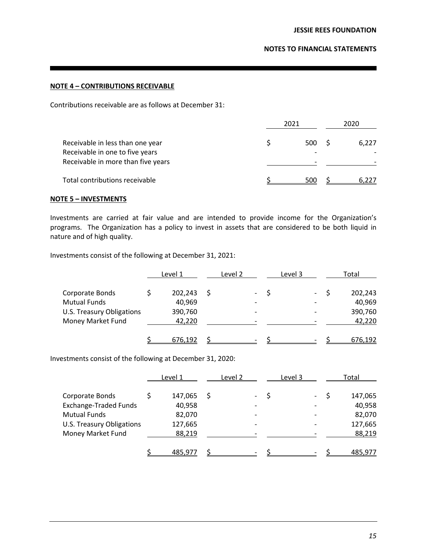# **NOTE 4 – CONTRIBUTIONS RECEIVABLE**

Contributions receivable are as follows at December 31:

|                                                                     | 2021 | 2020  |
|---------------------------------------------------------------------|------|-------|
| Receivable in less than one year<br>Receivable in one to five years | 500  | 6.227 |
| Receivable in more than five years                                  |      |       |
| Total contributions receivable                                      | 500  |       |

# **NOTE 5 – INVESTMENTS**

Investments are carried at fair value and are intended to provide income for the Organization's programs. The Organization has a policy to invest in assets that are considered to be both liquid in nature and of high quality.

Investments consist of the following at December 31, 2021:

|                           | Level 1 | Level 2 | Level 3 | Total   |
|---------------------------|---------|---------|---------|---------|
| Corporate Bonds           | 202,243 |         |         | 202,243 |
| <b>Mutual Funds</b>       | 40,969  |         |         | 40,969  |
| U.S. Treasury Obligations | 390,760 |         |         | 390,760 |
| Money Market Fund         | 42,220  |         |         | 42,220  |
|                           | 676,192 |         |         | 676,192 |

Investments consist of the following at December 31, 2020:

|                              | Level 1 | Level 2 | Level 3 |  | Total   |
|------------------------------|---------|---------|---------|--|---------|
| Corporate Bonds              | 147,065 |         |         |  | 147,065 |
| <b>Exchange-Traded Funds</b> | 40,958  |         |         |  | 40,958  |
| <b>Mutual Funds</b>          | 82,070  |         |         |  | 82,070  |
| U.S. Treasury Obligations    | 127,665 |         |         |  | 127,665 |
| Money Market Fund            | 88,219  |         |         |  | 88,219  |
|                              | 485.977 |         |         |  | 485.977 |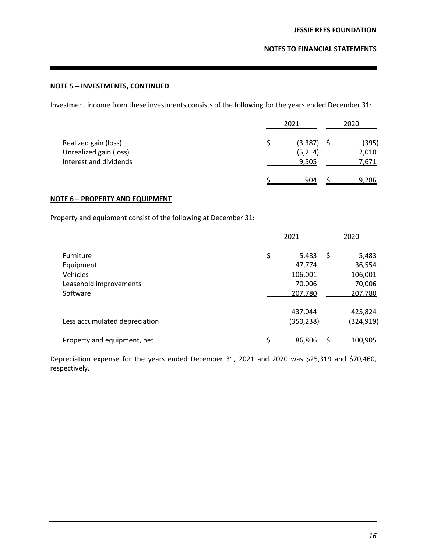# **NOTE 5 – INVESTMENTS, CONTINUED**

Investment income from these investments consists of the following for the years ended December 31:

|                                                                          | 2021                          | 2020                    |
|--------------------------------------------------------------------------|-------------------------------|-------------------------|
| Realized gain (loss)<br>Unrealized gain (loss)<br>Interest and dividends | (3, 387)<br>(5, 214)<br>9,505 | (395)<br>2,010<br>7,671 |
|                                                                          | 904                           | 9,286                   |

# **NOTE 6 – PROPERTY AND EQUIPMENT**

Property and equipment consist of the following at December 31:

|                               | 2021        | 2020        |
|-------------------------------|-------------|-------------|
| Furniture                     | \$<br>5,483 | \$<br>5,483 |
| Equipment                     | 47,774      | 36,554      |
| Vehicles                      | 106,001     | 106,001     |
| Leasehold improvements        | 70,006      | 70,006      |
| Software                      | 207,780     | 207,780     |
|                               | 437,044     | 425,824     |
| Less accumulated depreciation | (350, 238)  | (324,919)   |
| Property and equipment, net   | 86,806      | 100,905     |

Depreciation expense for the years ended December 31, 2021 and 2020 was \$25,319 and \$70,460, respectively.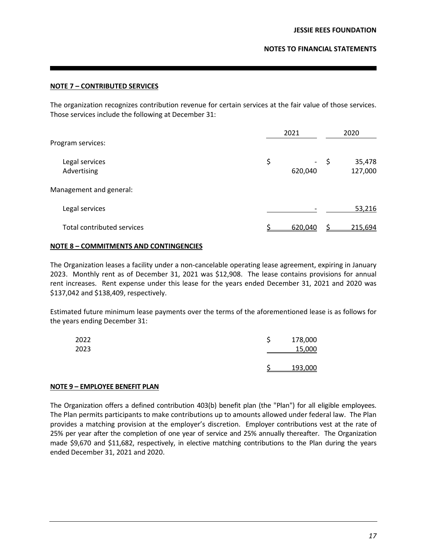# **NOTE 7 – CONTRIBUTED SERVICES**

The organization recognizes contribution revenue for certain services at the fair value of those services. Those services include the following at December 31:

| Program services:                                        | 2021          |      | 2020              |  |
|----------------------------------------------------------|---------------|------|-------------------|--|
| Legal services<br>Advertising<br>Management and general: | \$<br>620,040 | - \$ | 35,478<br>127,000 |  |
| Legal services                                           |               |      | 53,216            |  |
| <b>Total contributed services</b>                        | 620,040       |      | 215,694           |  |

# **NOTE 8 – COMMITMENTS AND CONTINGENCIES**

The Organization leases a facility under a non-cancelable operating lease agreement, expiring in January 2023. Monthly rent as of December 31, 2021 was \$12,908. The lease contains provisions for annual rent increases. Rent expense under this lease for the years ended December 31, 2021 and 2020 was \$137,042 and \$138,409, respectively.

Estimated future minimum lease payments over the terms of the aforementioned lease is as follows for the years ending December 31:

| 2022<br>2023 | 178,000<br>15,000 |  |
|--------------|-------------------|--|
|              | 193,000           |  |

# **NOTE 9 – EMPLOYEE BENEFIT PLAN**

The Organization offers a defined contribution 403(b) benefit plan (the "Plan") for all eligible employees. The Plan permits participants to make contributions up to amounts allowed under federal law. The Plan provides a matching provision at the employer's discretion. Employer contributions vest at the rate of 25% per year after the completion of one year of service and 25% annually thereafter. The Organization made \$9,670 and \$11,682, respectively, in elective matching contributions to the Plan during the years ended December 31, 2021 and 2020.